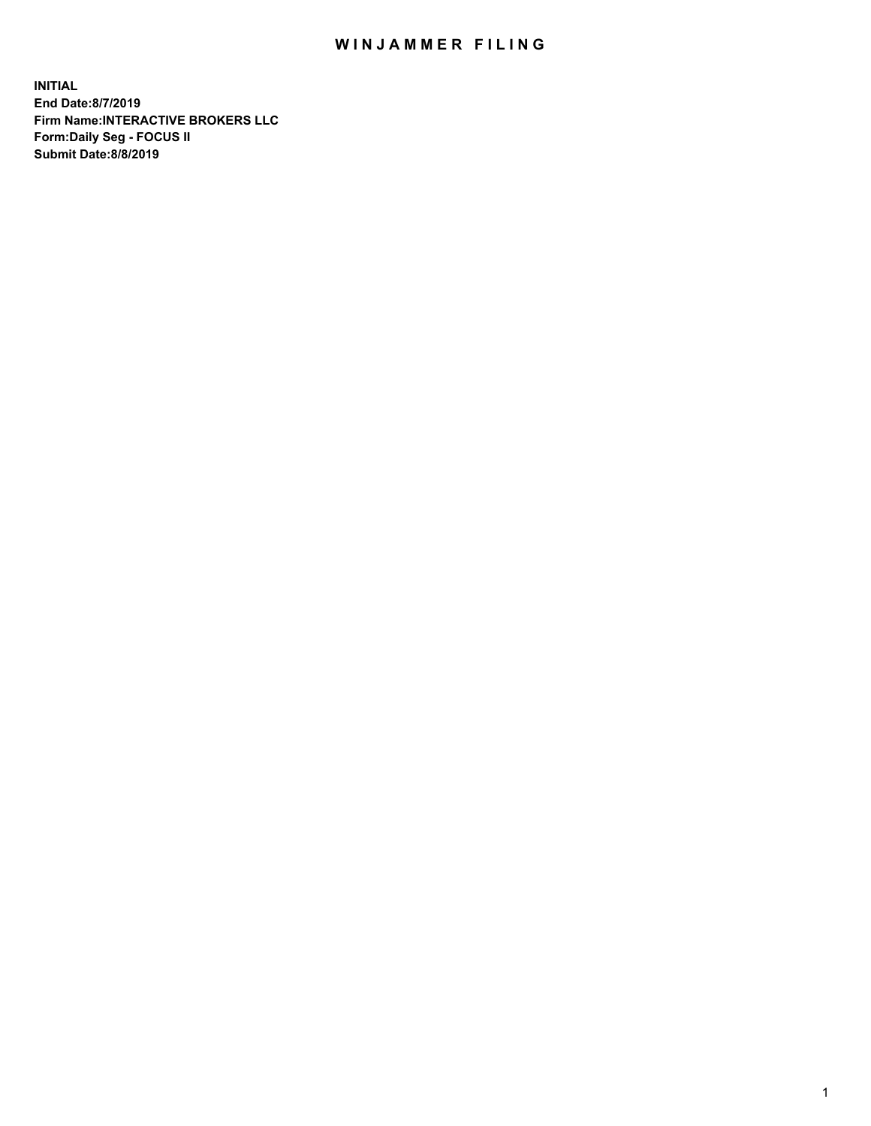## WIN JAMMER FILING

**INITIAL End Date:8/7/2019 Firm Name:INTERACTIVE BROKERS LLC Form:Daily Seg - FOCUS II Submit Date:8/8/2019**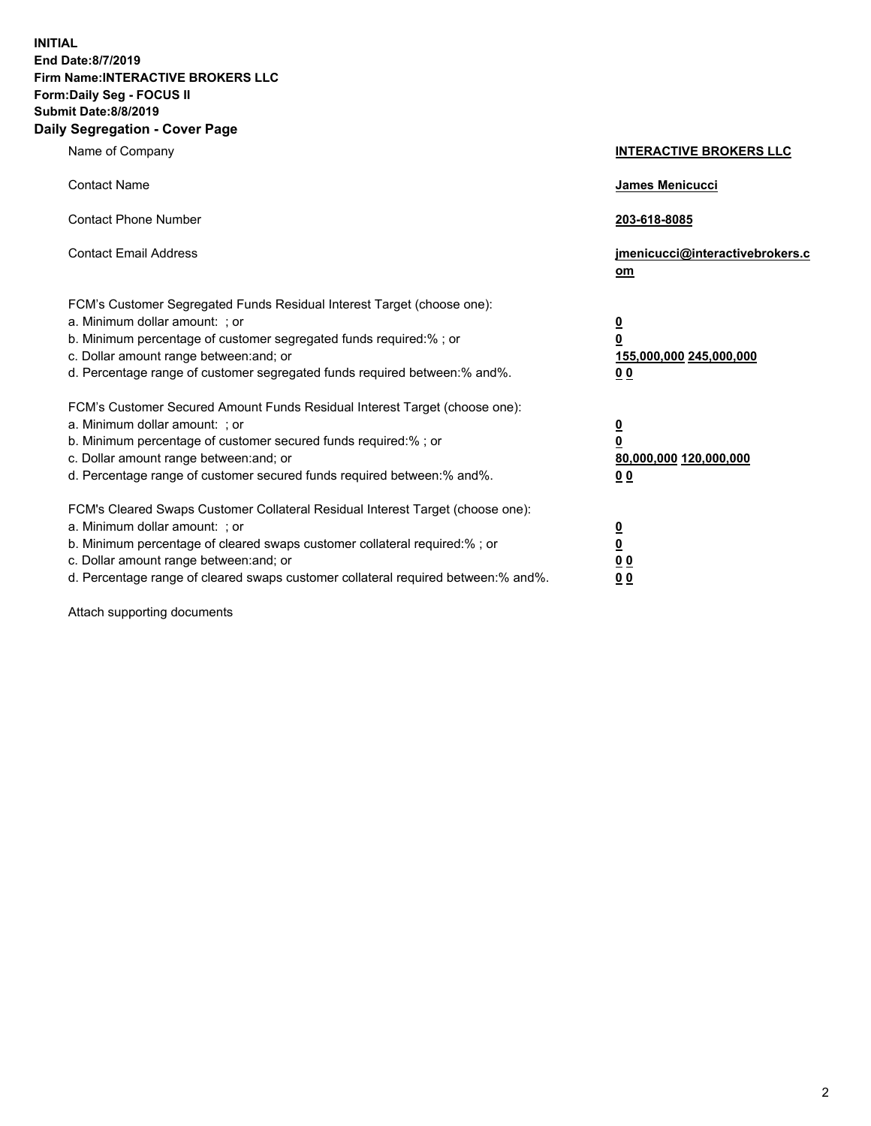**INITIAL End Date:8/7/2019 Firm Name:INTERACTIVE BROKERS LLC Form:Daily Seg - FOCUS II Submit Date:8/8/2019 Daily Segregation - Cover Page**

| Name of Company                                                                                                                                                                                                                                                                                                                | <b>INTERACTIVE BROKERS LLC</b>                                                      |  |
|--------------------------------------------------------------------------------------------------------------------------------------------------------------------------------------------------------------------------------------------------------------------------------------------------------------------------------|-------------------------------------------------------------------------------------|--|
| <b>Contact Name</b>                                                                                                                                                                                                                                                                                                            | James Menicucci                                                                     |  |
| <b>Contact Phone Number</b>                                                                                                                                                                                                                                                                                                    | 203-618-8085                                                                        |  |
| <b>Contact Email Address</b>                                                                                                                                                                                                                                                                                                   | jmenicucci@interactivebrokers.c<br>om                                               |  |
| FCM's Customer Segregated Funds Residual Interest Target (choose one):<br>a. Minimum dollar amount: ; or<br>b. Minimum percentage of customer segregated funds required:% ; or<br>c. Dollar amount range between: and; or<br>d. Percentage range of customer segregated funds required between:% and%.                         | $\overline{\mathbf{0}}$<br>$\overline{\mathbf{0}}$<br>155,000,000 245,000,000<br>00 |  |
| FCM's Customer Secured Amount Funds Residual Interest Target (choose one):<br>a. Minimum dollar amount: ; or<br>b. Minimum percentage of customer secured funds required:% ; or<br>c. Dollar amount range between: and; or<br>d. Percentage range of customer secured funds required between:% and%.                           | $\overline{\mathbf{0}}$<br>$\pmb{0}$<br>80,000,000 120,000,000<br>00                |  |
| FCM's Cleared Swaps Customer Collateral Residual Interest Target (choose one):<br>a. Minimum dollar amount: ; or<br>b. Minimum percentage of cleared swaps customer collateral required:% ; or<br>c. Dollar amount range between: and; or<br>d. Percentage range of cleared swaps customer collateral required between:% and%. | $\overline{\mathbf{0}}$<br>$\underline{\mathbf{0}}$<br>0 <sub>0</sub><br>00         |  |

Attach supporting documents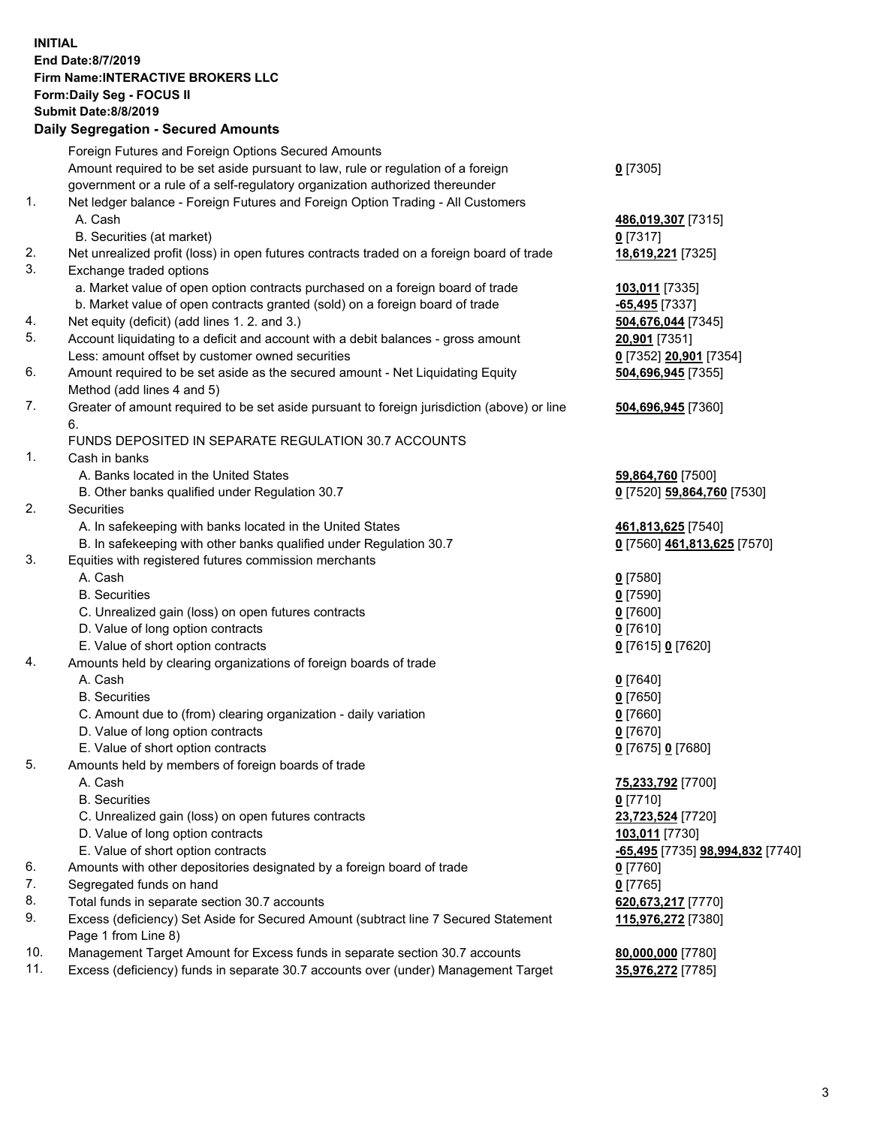## **INITIAL End Date:8/7/2019 Firm Name:INTERACTIVE BROKERS LLC Form:Daily Seg - FOCUS II Submit Date:8/8/2019 Daily Segregation - Secured Amounts**

| Foreign Futures and Foreign Options Secured Amounts                                |                                                                                                                                                                                                                                                                                                                                                                                                                                                                                                                                                                                                                                                                                                                                                                                                                                                                                                                                                                                                                                                                                                                                                                                                                                                                                                                                                                                                                                                                                                                                                                                                                                                                                                                               |
|------------------------------------------------------------------------------------|-------------------------------------------------------------------------------------------------------------------------------------------------------------------------------------------------------------------------------------------------------------------------------------------------------------------------------------------------------------------------------------------------------------------------------------------------------------------------------------------------------------------------------------------------------------------------------------------------------------------------------------------------------------------------------------------------------------------------------------------------------------------------------------------------------------------------------------------------------------------------------------------------------------------------------------------------------------------------------------------------------------------------------------------------------------------------------------------------------------------------------------------------------------------------------------------------------------------------------------------------------------------------------------------------------------------------------------------------------------------------------------------------------------------------------------------------------------------------------------------------------------------------------------------------------------------------------------------------------------------------------------------------------------------------------------------------------------------------------|
|                                                                                    | $0$ [7305]                                                                                                                                                                                                                                                                                                                                                                                                                                                                                                                                                                                                                                                                                                                                                                                                                                                                                                                                                                                                                                                                                                                                                                                                                                                                                                                                                                                                                                                                                                                                                                                                                                                                                                                    |
|                                                                                    |                                                                                                                                                                                                                                                                                                                                                                                                                                                                                                                                                                                                                                                                                                                                                                                                                                                                                                                                                                                                                                                                                                                                                                                                                                                                                                                                                                                                                                                                                                                                                                                                                                                                                                                               |
|                                                                                    |                                                                                                                                                                                                                                                                                                                                                                                                                                                                                                                                                                                                                                                                                                                                                                                                                                                                                                                                                                                                                                                                                                                                                                                                                                                                                                                                                                                                                                                                                                                                                                                                                                                                                                                               |
|                                                                                    | 486,019,307 [7315]                                                                                                                                                                                                                                                                                                                                                                                                                                                                                                                                                                                                                                                                                                                                                                                                                                                                                                                                                                                                                                                                                                                                                                                                                                                                                                                                                                                                                                                                                                                                                                                                                                                                                                            |
|                                                                                    | $0$ [7317]                                                                                                                                                                                                                                                                                                                                                                                                                                                                                                                                                                                                                                                                                                                                                                                                                                                                                                                                                                                                                                                                                                                                                                                                                                                                                                                                                                                                                                                                                                                                                                                                                                                                                                                    |
|                                                                                    | 18,619,221 [7325]                                                                                                                                                                                                                                                                                                                                                                                                                                                                                                                                                                                                                                                                                                                                                                                                                                                                                                                                                                                                                                                                                                                                                                                                                                                                                                                                                                                                                                                                                                                                                                                                                                                                                                             |
|                                                                                    |                                                                                                                                                                                                                                                                                                                                                                                                                                                                                                                                                                                                                                                                                                                                                                                                                                                                                                                                                                                                                                                                                                                                                                                                                                                                                                                                                                                                                                                                                                                                                                                                                                                                                                                               |
|                                                                                    | 103,011 [7335]                                                                                                                                                                                                                                                                                                                                                                                                                                                                                                                                                                                                                                                                                                                                                                                                                                                                                                                                                                                                                                                                                                                                                                                                                                                                                                                                                                                                                                                                                                                                                                                                                                                                                                                |
|                                                                                    | -65,495 [7337]                                                                                                                                                                                                                                                                                                                                                                                                                                                                                                                                                                                                                                                                                                                                                                                                                                                                                                                                                                                                                                                                                                                                                                                                                                                                                                                                                                                                                                                                                                                                                                                                                                                                                                                |
|                                                                                    | 504,676,044 [7345]                                                                                                                                                                                                                                                                                                                                                                                                                                                                                                                                                                                                                                                                                                                                                                                                                                                                                                                                                                                                                                                                                                                                                                                                                                                                                                                                                                                                                                                                                                                                                                                                                                                                                                            |
|                                                                                    | 20,901 [7351]                                                                                                                                                                                                                                                                                                                                                                                                                                                                                                                                                                                                                                                                                                                                                                                                                                                                                                                                                                                                                                                                                                                                                                                                                                                                                                                                                                                                                                                                                                                                                                                                                                                                                                                 |
|                                                                                    | 0 [7352] 20,901 [7354]                                                                                                                                                                                                                                                                                                                                                                                                                                                                                                                                                                                                                                                                                                                                                                                                                                                                                                                                                                                                                                                                                                                                                                                                                                                                                                                                                                                                                                                                                                                                                                                                                                                                                                        |
|                                                                                    | 504,696,945 [7355]                                                                                                                                                                                                                                                                                                                                                                                                                                                                                                                                                                                                                                                                                                                                                                                                                                                                                                                                                                                                                                                                                                                                                                                                                                                                                                                                                                                                                                                                                                                                                                                                                                                                                                            |
|                                                                                    |                                                                                                                                                                                                                                                                                                                                                                                                                                                                                                                                                                                                                                                                                                                                                                                                                                                                                                                                                                                                                                                                                                                                                                                                                                                                                                                                                                                                                                                                                                                                                                                                                                                                                                                               |
| 6.                                                                                 | 504,696,945 [7360]                                                                                                                                                                                                                                                                                                                                                                                                                                                                                                                                                                                                                                                                                                                                                                                                                                                                                                                                                                                                                                                                                                                                                                                                                                                                                                                                                                                                                                                                                                                                                                                                                                                                                                            |
| FUNDS DEPOSITED IN SEPARATE REGULATION 30.7 ACCOUNTS                               |                                                                                                                                                                                                                                                                                                                                                                                                                                                                                                                                                                                                                                                                                                                                                                                                                                                                                                                                                                                                                                                                                                                                                                                                                                                                                                                                                                                                                                                                                                                                                                                                                                                                                                                               |
| Cash in banks                                                                      |                                                                                                                                                                                                                                                                                                                                                                                                                                                                                                                                                                                                                                                                                                                                                                                                                                                                                                                                                                                                                                                                                                                                                                                                                                                                                                                                                                                                                                                                                                                                                                                                                                                                                                                               |
| A. Banks located in the United States                                              | 59,864,760 [7500]                                                                                                                                                                                                                                                                                                                                                                                                                                                                                                                                                                                                                                                                                                                                                                                                                                                                                                                                                                                                                                                                                                                                                                                                                                                                                                                                                                                                                                                                                                                                                                                                                                                                                                             |
| B. Other banks qualified under Regulation 30.7                                     | 0 [7520] 59,864,760 [7530]                                                                                                                                                                                                                                                                                                                                                                                                                                                                                                                                                                                                                                                                                                                                                                                                                                                                                                                                                                                                                                                                                                                                                                                                                                                                                                                                                                                                                                                                                                                                                                                                                                                                                                    |
| Securities                                                                         |                                                                                                                                                                                                                                                                                                                                                                                                                                                                                                                                                                                                                                                                                                                                                                                                                                                                                                                                                                                                                                                                                                                                                                                                                                                                                                                                                                                                                                                                                                                                                                                                                                                                                                                               |
| A. In safekeeping with banks located in the United States                          | 461,813,625 [7540]                                                                                                                                                                                                                                                                                                                                                                                                                                                                                                                                                                                                                                                                                                                                                                                                                                                                                                                                                                                                                                                                                                                                                                                                                                                                                                                                                                                                                                                                                                                                                                                                                                                                                                            |
| B. In safekeeping with other banks qualified under Regulation 30.7                 | 0 [7560] 461,813,625 [7570]                                                                                                                                                                                                                                                                                                                                                                                                                                                                                                                                                                                                                                                                                                                                                                                                                                                                                                                                                                                                                                                                                                                                                                                                                                                                                                                                                                                                                                                                                                                                                                                                                                                                                                   |
| Equities with registered futures commission merchants                              |                                                                                                                                                                                                                                                                                                                                                                                                                                                                                                                                                                                                                                                                                                                                                                                                                                                                                                                                                                                                                                                                                                                                                                                                                                                                                                                                                                                                                                                                                                                                                                                                                                                                                                                               |
| A. Cash                                                                            | $0$ [7580]                                                                                                                                                                                                                                                                                                                                                                                                                                                                                                                                                                                                                                                                                                                                                                                                                                                                                                                                                                                                                                                                                                                                                                                                                                                                                                                                                                                                                                                                                                                                                                                                                                                                                                                    |
| <b>B.</b> Securities                                                               | $0$ [7590]                                                                                                                                                                                                                                                                                                                                                                                                                                                                                                                                                                                                                                                                                                                                                                                                                                                                                                                                                                                                                                                                                                                                                                                                                                                                                                                                                                                                                                                                                                                                                                                                                                                                                                                    |
| C. Unrealized gain (loss) on open futures contracts                                | $0$ [7600]                                                                                                                                                                                                                                                                                                                                                                                                                                                                                                                                                                                                                                                                                                                                                                                                                                                                                                                                                                                                                                                                                                                                                                                                                                                                                                                                                                                                                                                                                                                                                                                                                                                                                                                    |
| D. Value of long option contracts                                                  | $0$ [7610]                                                                                                                                                                                                                                                                                                                                                                                                                                                                                                                                                                                                                                                                                                                                                                                                                                                                                                                                                                                                                                                                                                                                                                                                                                                                                                                                                                                                                                                                                                                                                                                                                                                                                                                    |
| E. Value of short option contracts                                                 | 0 [7615] 0 [7620]                                                                                                                                                                                                                                                                                                                                                                                                                                                                                                                                                                                                                                                                                                                                                                                                                                                                                                                                                                                                                                                                                                                                                                                                                                                                                                                                                                                                                                                                                                                                                                                                                                                                                                             |
|                                                                                    |                                                                                                                                                                                                                                                                                                                                                                                                                                                                                                                                                                                                                                                                                                                                                                                                                                                                                                                                                                                                                                                                                                                                                                                                                                                                                                                                                                                                                                                                                                                                                                                                                                                                                                                               |
|                                                                                    | $0$ [7640]                                                                                                                                                                                                                                                                                                                                                                                                                                                                                                                                                                                                                                                                                                                                                                                                                                                                                                                                                                                                                                                                                                                                                                                                                                                                                                                                                                                                                                                                                                                                                                                                                                                                                                                    |
|                                                                                    | $0$ [7650]                                                                                                                                                                                                                                                                                                                                                                                                                                                                                                                                                                                                                                                                                                                                                                                                                                                                                                                                                                                                                                                                                                                                                                                                                                                                                                                                                                                                                                                                                                                                                                                                                                                                                                                    |
|                                                                                    | $0$ [7660]                                                                                                                                                                                                                                                                                                                                                                                                                                                                                                                                                                                                                                                                                                                                                                                                                                                                                                                                                                                                                                                                                                                                                                                                                                                                                                                                                                                                                                                                                                                                                                                                                                                                                                                    |
|                                                                                    | $0$ [7670]                                                                                                                                                                                                                                                                                                                                                                                                                                                                                                                                                                                                                                                                                                                                                                                                                                                                                                                                                                                                                                                                                                                                                                                                                                                                                                                                                                                                                                                                                                                                                                                                                                                                                                                    |
|                                                                                    | 0 [7675] 0 [7680]                                                                                                                                                                                                                                                                                                                                                                                                                                                                                                                                                                                                                                                                                                                                                                                                                                                                                                                                                                                                                                                                                                                                                                                                                                                                                                                                                                                                                                                                                                                                                                                                                                                                                                             |
|                                                                                    |                                                                                                                                                                                                                                                                                                                                                                                                                                                                                                                                                                                                                                                                                                                                                                                                                                                                                                                                                                                                                                                                                                                                                                                                                                                                                                                                                                                                                                                                                                                                                                                                                                                                                                                               |
|                                                                                    | 75,233,792 [7700]                                                                                                                                                                                                                                                                                                                                                                                                                                                                                                                                                                                                                                                                                                                                                                                                                                                                                                                                                                                                                                                                                                                                                                                                                                                                                                                                                                                                                                                                                                                                                                                                                                                                                                             |
|                                                                                    | $0$ [7710]                                                                                                                                                                                                                                                                                                                                                                                                                                                                                                                                                                                                                                                                                                                                                                                                                                                                                                                                                                                                                                                                                                                                                                                                                                                                                                                                                                                                                                                                                                                                                                                                                                                                                                                    |
|                                                                                    | 23,723,524 [7720]                                                                                                                                                                                                                                                                                                                                                                                                                                                                                                                                                                                                                                                                                                                                                                                                                                                                                                                                                                                                                                                                                                                                                                                                                                                                                                                                                                                                                                                                                                                                                                                                                                                                                                             |
|                                                                                    | 103,011 [7730]                                                                                                                                                                                                                                                                                                                                                                                                                                                                                                                                                                                                                                                                                                                                                                                                                                                                                                                                                                                                                                                                                                                                                                                                                                                                                                                                                                                                                                                                                                                                                                                                                                                                                                                |
|                                                                                    | <mark>-65,495</mark> [7735] <b>98,994,832</b> [7740]                                                                                                                                                                                                                                                                                                                                                                                                                                                                                                                                                                                                                                                                                                                                                                                                                                                                                                                                                                                                                                                                                                                                                                                                                                                                                                                                                                                                                                                                                                                                                                                                                                                                          |
|                                                                                    | $0$ [7760]                                                                                                                                                                                                                                                                                                                                                                                                                                                                                                                                                                                                                                                                                                                                                                                                                                                                                                                                                                                                                                                                                                                                                                                                                                                                                                                                                                                                                                                                                                                                                                                                                                                                                                                    |
|                                                                                    | $0$ [7765]                                                                                                                                                                                                                                                                                                                                                                                                                                                                                                                                                                                                                                                                                                                                                                                                                                                                                                                                                                                                                                                                                                                                                                                                                                                                                                                                                                                                                                                                                                                                                                                                                                                                                                                    |
|                                                                                    | 620,673,217 [7770]                                                                                                                                                                                                                                                                                                                                                                                                                                                                                                                                                                                                                                                                                                                                                                                                                                                                                                                                                                                                                                                                                                                                                                                                                                                                                                                                                                                                                                                                                                                                                                                                                                                                                                            |
| Page 1 from Line 8)                                                                | 115,976,272 [7380]                                                                                                                                                                                                                                                                                                                                                                                                                                                                                                                                                                                                                                                                                                                                                                                                                                                                                                                                                                                                                                                                                                                                                                                                                                                                                                                                                                                                                                                                                                                                                                                                                                                                                                            |
| Management Target Amount for Excess funds in separate section 30.7 accounts        | 80,000,000 [7780]                                                                                                                                                                                                                                                                                                                                                                                                                                                                                                                                                                                                                                                                                                                                                                                                                                                                                                                                                                                                                                                                                                                                                                                                                                                                                                                                                                                                                                                                                                                                                                                                                                                                                                             |
| Excess (deficiency) funds in separate 30.7 accounts over (under) Management Target | 35,976,272 [7785]                                                                                                                                                                                                                                                                                                                                                                                                                                                                                                                                                                                                                                                                                                                                                                                                                                                                                                                                                                                                                                                                                                                                                                                                                                                                                                                                                                                                                                                                                                                                                                                                                                                                                                             |
|                                                                                    | Amount required to be set aside pursuant to law, rule or regulation of a foreign<br>government or a rule of a self-regulatory organization authorized thereunder<br>Net ledger balance - Foreign Futures and Foreign Option Trading - All Customers<br>A. Cash<br>B. Securities (at market)<br>Net unrealized profit (loss) in open futures contracts traded on a foreign board of trade<br>Exchange traded options<br>a. Market value of open option contracts purchased on a foreign board of trade<br>b. Market value of open contracts granted (sold) on a foreign board of trade<br>Net equity (deficit) (add lines 1. 2. and 3.)<br>Account liquidating to a deficit and account with a debit balances - gross amount<br>Less: amount offset by customer owned securities<br>Amount required to be set aside as the secured amount - Net Liquidating Equity<br>Method (add lines 4 and 5)<br>Greater of amount required to be set aside pursuant to foreign jurisdiction (above) or line<br>Amounts held by clearing organizations of foreign boards of trade<br>A. Cash<br><b>B.</b> Securities<br>C. Amount due to (from) clearing organization - daily variation<br>D. Value of long option contracts<br>E. Value of short option contracts<br>Amounts held by members of foreign boards of trade<br>A. Cash<br><b>B.</b> Securities<br>C. Unrealized gain (loss) on open futures contracts<br>D. Value of long option contracts<br>E. Value of short option contracts<br>Amounts with other depositories designated by a foreign board of trade<br>Segregated funds on hand<br>Total funds in separate section 30.7 accounts<br>Excess (deficiency) Set Aside for Secured Amount (subtract line 7 Secured Statement |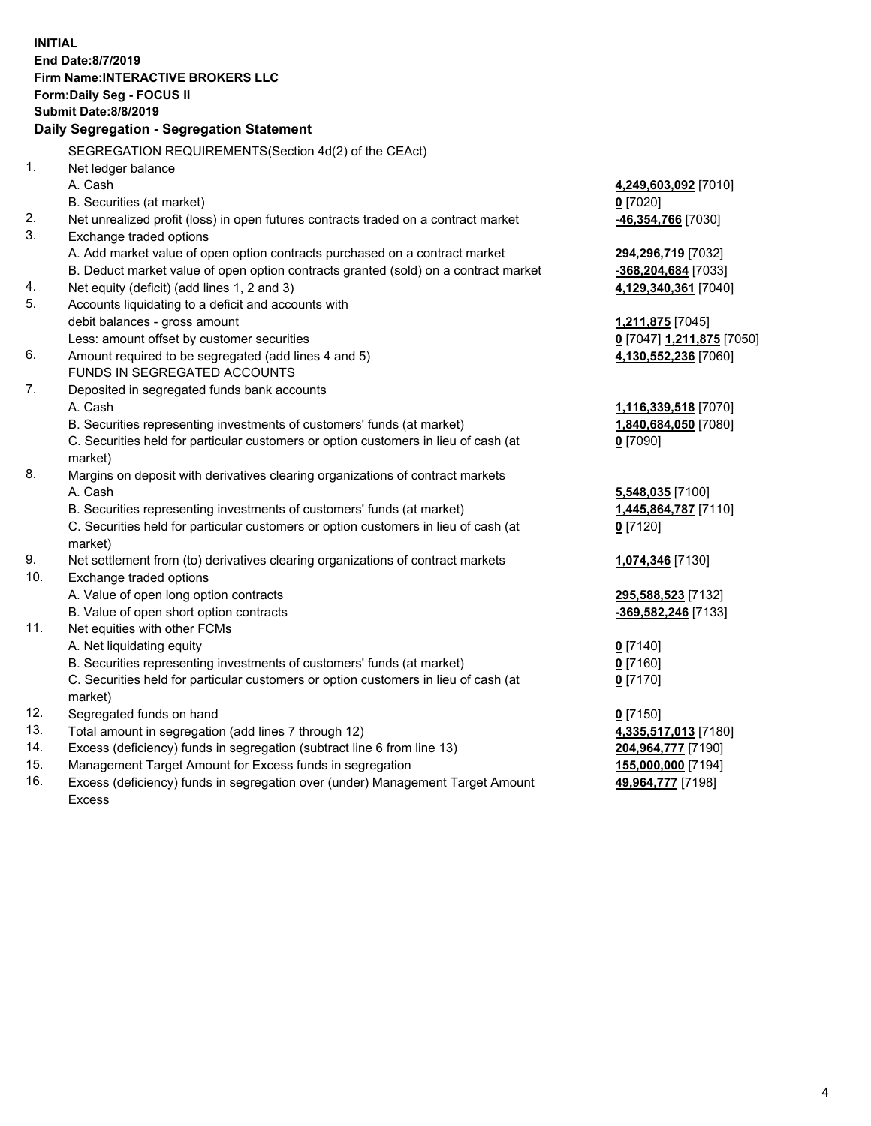**INITIAL End Date:8/7/2019 Firm Name:INTERACTIVE BROKERS LLC Form:Daily Seg - FOCUS II Submit Date:8/8/2019 Daily Segregation - Segregation Statement** SEGREGATION REQUIREMENTS(Section 4d(2) of the CEAct) 1. Net ledger balance A. Cash **4,249,603,092** [7010] B. Securities (at market) **0** [7020] 2. Net unrealized profit (loss) in open futures contracts traded on a contract market **-46,354,766** [7030] 3. Exchange traded options A. Add market value of open option contracts purchased on a contract market **294,296,719** [7032] B. Deduct market value of open option contracts granted (sold) on a contract market **-368,204,684** [7033] 4. Net equity (deficit) (add lines 1, 2 and 3) **4,129,340,361** [7040] 5. Accounts liquidating to a deficit and accounts with debit balances - gross amount **1,211,875** [7045] Less: amount offset by customer securities **0** [7047] **1,211,875** [7050] 6. Amount required to be segregated (add lines 4 and 5) **4,130,552,236** [7060] FUNDS IN SEGREGATED ACCOUNTS 7. Deposited in segregated funds bank accounts A. Cash **1,116,339,518** [7070] B. Securities representing investments of customers' funds (at market) **1,840,684,050** [7080] C. Securities held for particular customers or option customers in lieu of cash (at market) **0** [7090] 8. Margins on deposit with derivatives clearing organizations of contract markets A. Cash **5,548,035** [7100] B. Securities representing investments of customers' funds (at market) **1,445,864,787** [7110] C. Securities held for particular customers or option customers in lieu of cash (at market) **0** [7120] 9. Net settlement from (to) derivatives clearing organizations of contract markets **1,074,346** [7130] 10. Exchange traded options A. Value of open long option contracts **295,588,523** [7132] B. Value of open short option contracts **-369,582,246** [7133] 11. Net equities with other FCMs A. Net liquidating equity **0** [7140] B. Securities representing investments of customers' funds (at market) **0** [7160] C. Securities held for particular customers or option customers in lieu of cash (at market) **0** [7170] 12. Segregated funds on hand **0** [7150] 13. Total amount in segregation (add lines 7 through 12) **4,335,517,013** [7180] 14. Excess (deficiency) funds in segregation (subtract line 6 from line 13) **204,964,777** [7190] 15. Management Target Amount for Excess funds in segregation **155,000,000** [7194]

16. Excess (deficiency) funds in segregation over (under) Management Target Amount Excess

**49,964,777** [7198]